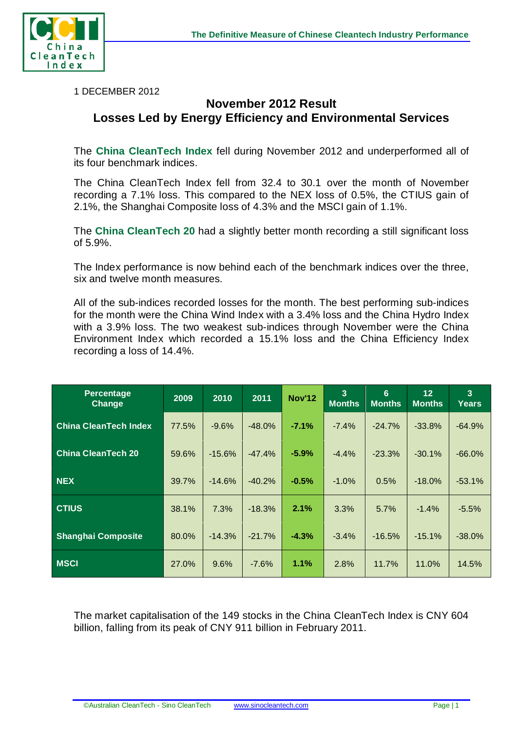

1 DECEMBER 2012

## **November 2012 Result Losses Led by Energy Efficiency and Environmental Services**

The **China CleanTech Index** fell during November 2012 and underperformed all of its four benchmark indices.

The China CleanTech Index fell from 32.4 to 30.1 over the month of November recording a 7.1% loss. This compared to the NEX loss of 0.5%, the CTIUS gain of 2.1%, the Shanghai Composite loss of 4.3% and the MSCI gain of 1.1%.

The **China CleanTech 20** had a slightly better month recording a still significant loss of 5.9%.

The Index performance is now behind each of the benchmark indices over the three, six and twelve month measures.

All of the sub-indices recorded losses for the month. The best performing sub-indices for the month were the China Wind Index with a 3.4% loss and the China Hydro Index with a 3.9% loss. The two weakest sub-indices through November were the China Environment Index which recorded a 15.1% loss and the China Efficiency Index recording a loss of 14.4%.

| <b>Percentage</b><br><b>Change</b> | 2009  | 2010     | 2011     | <b>Nov'12</b> | $\overline{3}$<br><b>Months</b> | 6<br><b>Months</b> | 12<br><b>Months</b> | $\overline{3}$<br>Years |
|------------------------------------|-------|----------|----------|---------------|---------------------------------|--------------------|---------------------|-------------------------|
| <b>China CleanTech Index</b>       | 77.5% | $-9.6%$  | $-48.0%$ | $-7.1%$       | $-7.4%$                         | $-24.7%$           | $-33.8%$            | $-64.9%$                |
| <b>China CleanTech 20</b>          | 59.6% | $-15.6%$ | $-47.4%$ | $-5.9%$       | $-4.4%$                         | $-23.3%$           | $-30.1%$            | $-66.0%$                |
| <b>NEX</b>                         | 39.7% | $-14.6%$ | $-40.2%$ | $-0.5%$       | $-1.0%$                         | 0.5%               | $-18.0%$            | $-53.1%$                |
| <b>CTIUS</b>                       | 38.1% | 7.3%     | $-18.3%$ | 2.1%          | 3.3%                            | 5.7%               | $-1.4%$             | $-5.5%$                 |
| <b>Shanghai Composite</b>          | 80.0% | $-14.3%$ | $-21.7%$ | $-4.3%$       | $-3.4%$                         | $-16.5%$           | $-15.1%$            | $-38.0%$                |
| <b>MSCI</b>                        | 27.0% | 9.6%     | $-7.6%$  | $1.1\%$       | 2.8%                            | 11.7%              | 11.0%               | 14.5%                   |

The market capitalisation of the 149 stocks in the China CleanTech Index is CNY 604 billion, falling from its peak of CNY 911 billion in February 2011.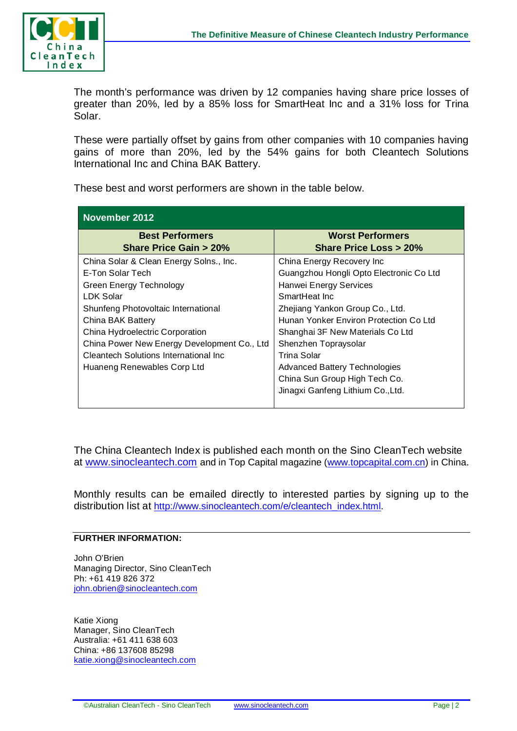

The month's performance was driven by 12 companies having share price losses of greater than 20%, led by a 85% loss for SmartHeat Inc and a 31% loss for Trina Solar.

These were partially offset by gains from other companies with 10 companies having gains of more than 20%, led by the 54% gains for both Cleantech Solutions International Inc and China BAK Battery.

| November 2012                                                                         |                                                                   |  |  |  |  |  |
|---------------------------------------------------------------------------------------|-------------------------------------------------------------------|--|--|--|--|--|
| <b>Best Performers</b><br><b>Share Price Gain &gt; 20%</b>                            | <b>Worst Performers</b><br><b>Share Price Loss &gt; 20%</b>       |  |  |  |  |  |
| China Solar & Clean Energy Solns., Inc.                                               | China Energy Recovery Inc                                         |  |  |  |  |  |
| E-Ton Solar Tech<br><b>Green Energy Technology</b>                                    | Guangzhou Hongli Opto Electronic Co Ltd<br>Hanwei Energy Services |  |  |  |  |  |
| <b>LDK Solar</b>                                                                      | SmartHeat Inc.                                                    |  |  |  |  |  |
| Shunfeng Photovoltaic International                                                   | Zhejiang Yankon Group Co., Ltd.                                   |  |  |  |  |  |
| China BAK Battery                                                                     | Hunan Yonker Environ Protection Co Ltd                            |  |  |  |  |  |
| China Hydroelectric Corporation                                                       | Shanghai 3F New Materials Co Ltd                                  |  |  |  |  |  |
| China Power New Energy Development Co., Ltd<br>Cleantech Solutions International Inc. | Shenzhen Topraysolar<br>Trina Solar                               |  |  |  |  |  |
| Huaneng Renewables Corp Ltd                                                           | <b>Advanced Battery Technologies</b>                              |  |  |  |  |  |
|                                                                                       | China Sun Group High Tech Co.                                     |  |  |  |  |  |
|                                                                                       | Jinagxi Ganfeng Lithium Co., Ltd.                                 |  |  |  |  |  |

These best and worst performers are shown in the table below.

The China Cleantech Index is published each month on the Sino CleanTech website at [www.sinocleantech.com](http://www.sinocleantech.com/) and in Top Capital magazine [\(www.topcapital.com.cn\)](http://www.topcapital.com.cn/) in China.

Monthly results can be emailed directly to interested parties by signing up to the distribution list at [http://www.sinocleantech.com/e/cleantech\\_index.html.](http://www.sinocleantech.com/e/cleantech_index.html)

## **FURTHER INFORMATION:**

John O'Brien Managing Director, Sino CleanTech Ph: +61 419 826 372 [john.obrien@sinocleantech.com](mailto:john.obrien@sinocleantech.com)

Katie Xiong Manager, Sino CleanTech Australia: +61 411 638 603 China: +86 137608 85298 [katie.xiong@sinocleantech.com](mailto:katie.xiong@sinocleantech.com)